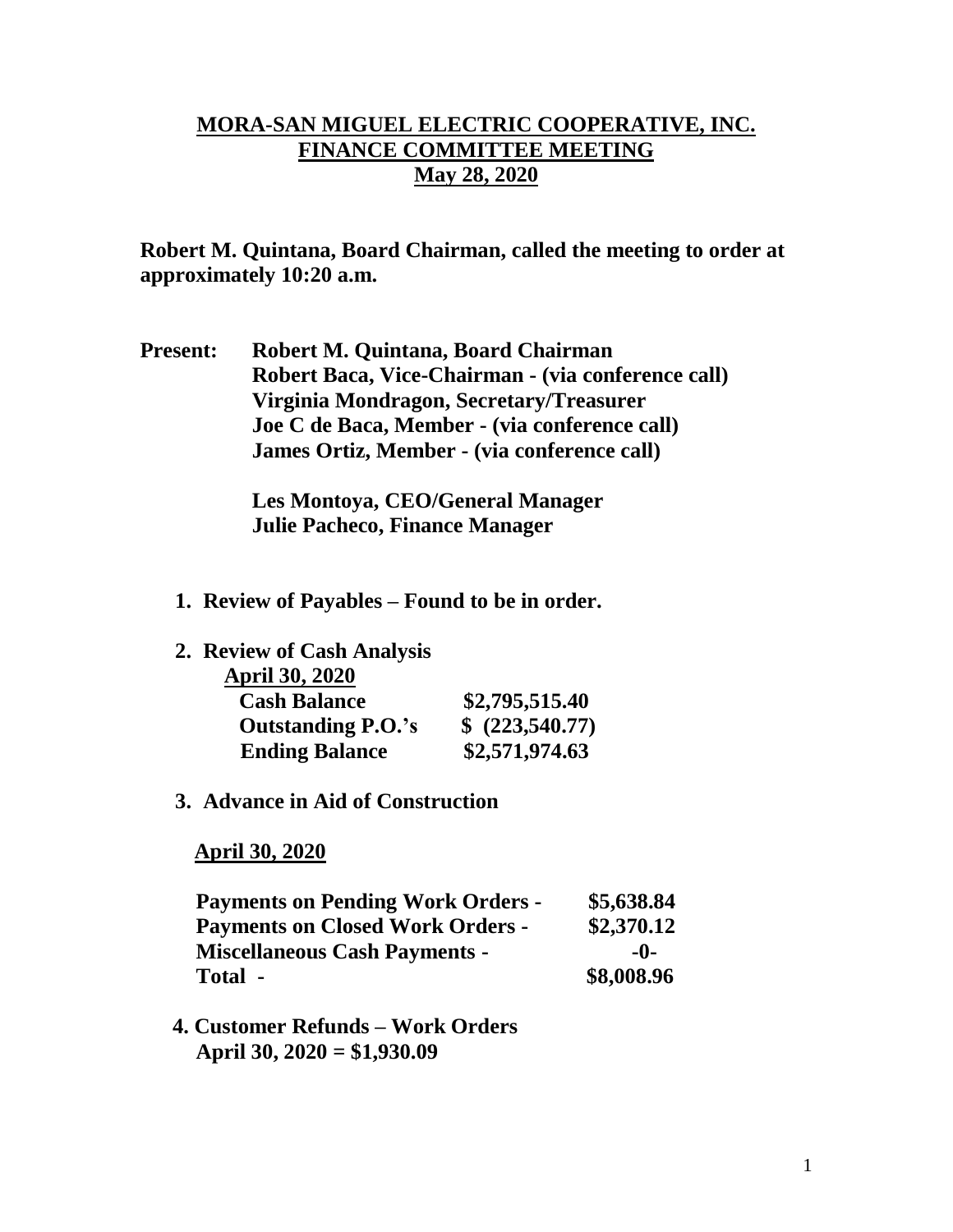## **MORA-SAN MIGUEL ELECTRIC COOPERATIVE, INC. FINANCE COMMITTEE MEETING May 28, 2020**

**Robert M. Quintana, Board Chairman, called the meeting to order at approximately 10:20 a.m.**

**Present: Robert M. Quintana, Board Chairman Robert Baca, Vice-Chairman - (via conference call) Virginia Mondragon, Secretary/Treasurer Joe C de Baca, Member - (via conference call) James Ortiz, Member - (via conference call)**

> **Les Montoya, CEO/General Manager Julie Pacheco, Finance Manager**

- **1. Review of Payables – Found to be in order.**
- **2. Review of Cash Analysis**

| <b>April 30, 2020</b>     |                 |
|---------------------------|-----------------|
| <b>Cash Balance</b>       | \$2,795,515.40  |
| <b>Outstanding P.O.'s</b> | \$ (223,540.77) |
| <b>Ending Balance</b>     | \$2,571,974.63  |

## **3. Advance in Aid of Construction**

 **April 30, 2020**

| <b>Payments on Pending Work Orders -</b> | \$5,638.84 |
|------------------------------------------|------------|
| <b>Payments on Closed Work Orders -</b>  | \$2,370.12 |
| <b>Miscellaneous Cash Payments -</b>     | -0-        |
| Total -                                  | \$8,008.96 |

 **4. Customer Refunds – Work Orders April 30, 2020 = \$1,930.09**